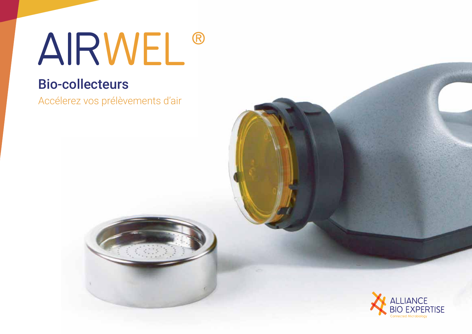# AIRWEL®

# **Bio-collecteurs**

Accélerez vos prélèvements d'air

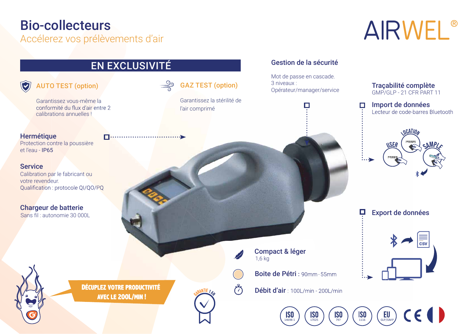## **Bio-collecteurs**

Accélerez vos prélèvements d'air

# AIRWEL®

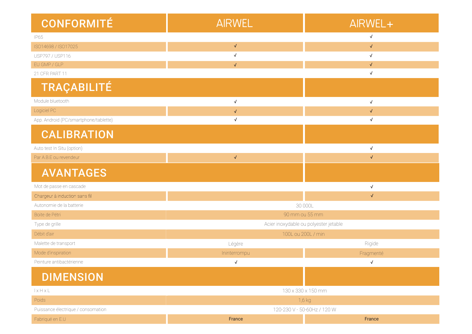| <b>CONFORMITÉ</b>                     | <b>AIRWEL</b>                         | AIRWEL+      |
|---------------------------------------|---------------------------------------|--------------|
| <b>IP65</b>                           |                                       | $\checkmark$ |
| ISO14698 / ISO17025                   | $\checkmark$                          | $\sqrt{}$    |
| USP797 / USP116                       | $\checkmark$                          | $\checkmark$ |
| EU GMP / GLP                          | $\sqrt{2}$                            | $\sqrt{ }$   |
| 21 CFR PART 11                        |                                       | $\sqrt{}$    |
| <b>TRAÇABILITÉ</b>                    |                                       |              |
| Module bluetooth                      | $\checkmark$                          | $\checkmark$ |
| Logiciel PC                           | $\checkmark$                          | $\sqrt{}$    |
| App. Android (PC/smartphone/tablette) | $\checkmark$                          | $\checkmark$ |
| <b>CALIBRATION</b>                    |                                       |              |
| Auto test In Situ (option)            |                                       | $\sqrt{ }$   |
| Par A.B.E ou revendeur                | $\sqrt{}$                             | $\sqrt{}$    |
| <b>AVANTAGES</b>                      |                                       |              |
| Mot de passe en cascade               |                                       | $\sqrt{}$    |
| Chargeur à induction sans fil         |                                       | $\sqrt{}$    |
| Autonomie de la batterie              | 30 000L                               |              |
| Boite de Pétri                        | 90 mm ou 55 mm                        |              |
| Type de grille                        | Acier inoxydable ou polyester jetable |              |
| Débit d'air                           | 100L ou 200L / min                    |              |
| Malette de transport                  | Légère                                | Rigide       |
| Mode d'inspiration                    | Ininterrompu                          | Fragmenté    |
| Peinture antibactérienne              | $\sqrt{}$                             | $\sqrt{}$    |
| <b>DIMENSION</b>                      |                                       |              |
| IxHxL                                 | 130 x 330 x 150 mm                    |              |
| Poids                                 | 1,6 kg                                |              |
| Puissance électrique / consomation    | 120-230 V - 50-60Hz / 120 W           |              |
| Fabriqué en E.U                       | France                                | France       |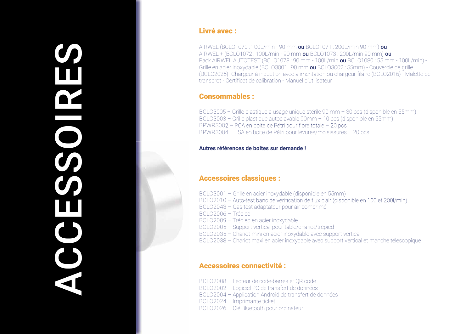# $\boldsymbol{O}$ 033 W  $\bigcup$ S

#### Livré avec :

AIRWEL (BCLO1070:100L/min - 90 mm ou BCLO1071: 200L/min 90 mm) ou AIRWEL + (BCLO1072:100L/min - 90 mm ou BCLO1073: 200L/min 90 mm) ou Pack AIRWEL AUTOTEST (BCLO1078: 90 mm - 100L/min ou BCLO1080: 55 mm - 100L/min) -Grille en acier inoxydable (BCLO3001 : 90 mm ou BCLO3002 : 55mm) - Couvercle de grille (BCLO2025) - Chargeur à induction avec alimentation ou chargeur filaire (BCLO2016) - Malette de transprot - Certificat de calibration - Manuel d'utilisateur

#### **Consommables:**

BCLO3005 - Grille plastique à usage unique stérile 90 mm - 30 pcs (disponible en 55mm) BCLO3003 - Grille plastique autoclavable 90mm - 10 pcs (disponible en 55mm) BPWR3002 - PCA en boite de Pétri pour flore totale - 20 pcs BPWR3004 - TSA en boite de Pétri pour levures/moisissures - 20 pcs

#### Autres références de boites sur demande l

#### **Accessoires classiques:**

BCLO3001 - Grille en acier inoxydable (disponible en 55mm) BCLO2010 - Auto-test banc de verification de flux d'air (disponible en 100 et 200l/min) BCLO2043 - Gas test adaptateur pour air comprimé BCLO2006 - Trépied BCLO2009 - Trépied en acier inoxydable BCL02005 - Support vertical pour table/chariot/trépied BCL02035 - Chariot mini en acier inoxydable avec support vertical BCLO2038 - Chariot maxi en acier inoxydable avec support vertical et manche télescopique

#### **Accessoires connectivité:**

BCLO2008 - Lecteur de code-barres et QR code BCLO2002 - Logiciel PC de transfert de données BCLO2004 - Application Android de transfert de données BCLO2024 - Imprimante ticket BCLO2026 - Clé Bluetooth pour ordinateur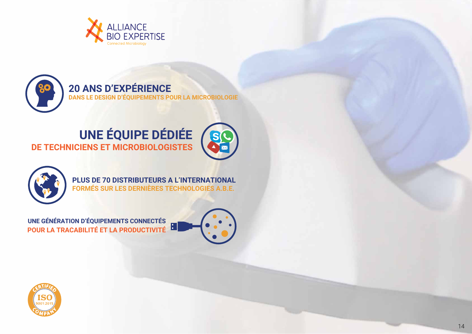



### **DE TECHNICIENS ET MICROBIOLOGISTES** UNE ÉQUIPE DÉDIÉE





PLUS DE 70 DISTRIBUTEURS A L'INTERNATIONAL **FORMÉS SUR LES DERNIÈRES TECHNOLOGIES A.B.E.** 

**2008 LA TRACABILITÉ ET LA PRODUCTIVITÉ** UNE GÉNÉRATION D'ÉQUIPEMENTS CONNECTÉS